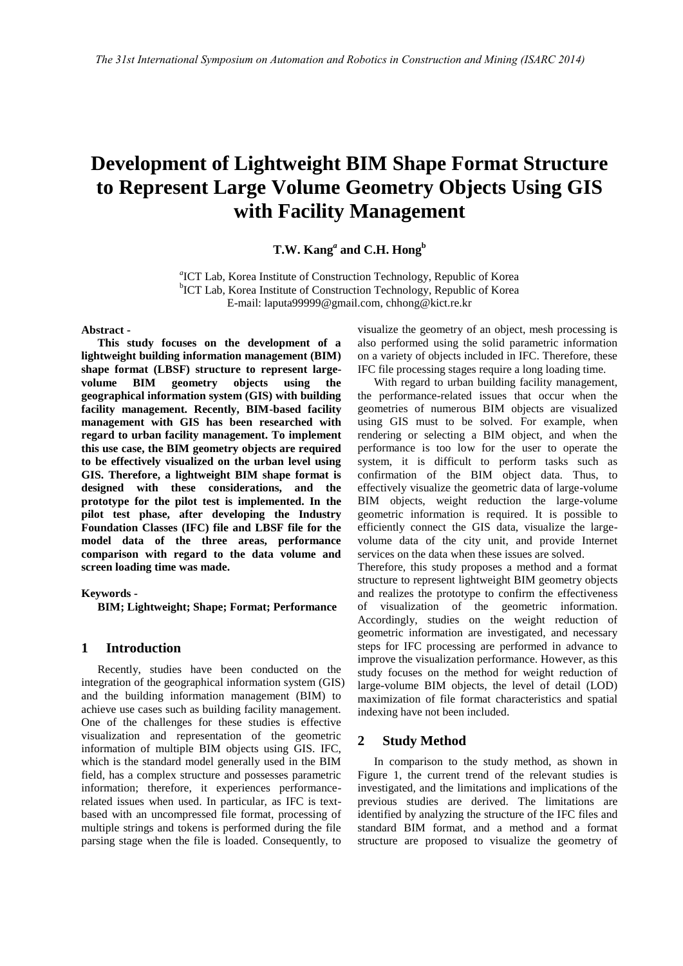# **Development of Lightweight BIM Shape Format Structure to Represent Large Volume Geometry Objects Using GIS with Facility Management**

## **T.W. Kang***<sup>a</sup>* **and C.H. Hong<sup>b</sup>**

*a* ICT Lab, Korea Institute of Construction Technology, Republic of Korea <sup>b</sup>ICT Lab, Korea Institute of Construction Technology, Republic of Korea E-mail: laputa99999@gmail.com, chhong@kict.re.kr

#### **Abstract -**

**This study focuses on the development of a lightweight building information management (BIM) shape format (LBSF) structure to represent largevolume BIM geometry objects using the geographical information system (GIS) with building facility management. Recently, BIM-based facility management with GIS has been researched with regard to urban facility management. To implement this use case, the BIM geometry objects are required to be effectively visualized on the urban level using GIS. Therefore, a lightweight BIM shape format is designed with these considerations, and the prototype for the pilot test is implemented. In the pilot test phase, after developing the Industry Foundation Classes (IFC) file and LBSF file for the model data of the three areas, performance comparison with regard to the data volume and screen loading time was made.** 

#### **Keywords -**

**BIM; Lightweight; Shape; Format; Performance** 

### **1 Introduction**

Recently, studies have been conducted on the integration of the geographical information system (GIS) and the building information management (BIM) to achieve use cases such as building facility management. One of the challenges for these studies is effective visualization and representation of the geometric information of multiple BIM objects using GIS. IFC, which is the standard model generally used in the BIM field, has a complex structure and possesses parametric information; therefore, it experiences performancerelated issues when used. In particular, as IFC is textbased with an uncompressed file format, processing of multiple strings and tokens is performed during the file parsing stage when the file is loaded. Consequently, to

visualize the geometry of an object, mesh processing is also performed using the solid parametric information on a variety of objects included in IFC. Therefore, these IFC file processing stages require a long loading time.

With regard to urban building facility management, the performance-related issues that occur when the geometries of numerous BIM objects are visualized using GIS must to be solved. For example, when rendering or selecting a BIM object, and when the performance is too low for the user to operate the system, it is difficult to perform tasks such as confirmation of the BIM object data. Thus, to effectively visualize the geometric data of large-volume BIM objects, weight reduction the large-volume geometric information is required. It is possible to efficiently connect the GIS data, visualize the largevolume data of the city unit, and provide Internet services on the data when these issues are solved.

Therefore, this study proposes a method and a format structure to represent lightweight BIM geometry objects and realizes the prototype to confirm the effectiveness of visualization of the geometric information. Accordingly, studies on the weight reduction of geometric information are investigated, and necessary steps for IFC processing are performed in advance to improve the visualization performance. However, as this study focuses on the method for weight reduction of large-volume BIM objects, the level of detail (LOD) maximization of file format characteristics and spatial indexing have not been included.

### **2 Study Method**

In comparison to the study method, as shown in Figure 1, the current trend of the relevant studies is investigated, and the limitations and implications of the previous studies are derived. The limitations are identified by analyzing the structure of the IFC files and standard BIM format, and a method and a format structure are proposed to visualize the geometry of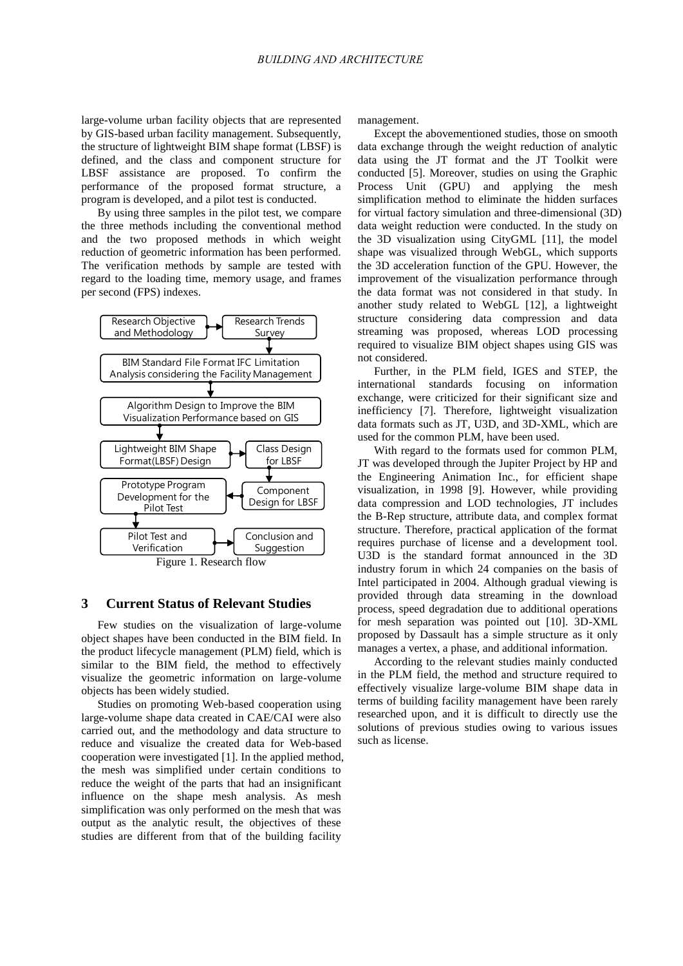large-volume urban facility objects that are represented by GIS-based urban facility management. Subsequently, the structure of lightweight BIM shape format (LBSF) is defined, and the class and component structure for LBSF assistance are proposed. To confirm the performance of the proposed format structure, a program is developed, and a pilot test is conducted.

By using three samples in the pilot test, we compare the three methods including the conventional method and the two proposed methods in which weight reduction of geometric information has been performed. The verification methods by sample are tested with regard to the loading time, memory usage, and frames per second (FPS) indexes.



Figure 1. Research flow

### **3 Current Status of Relevant Studies**

Few studies on the visualization of large-volume object shapes have been conducted in the BIM field. In the product lifecycle management (PLM) field, which is similar to the BIM field, the method to effectively visualize the geometric information on large-volume objects has been widely studied.

Studies on promoting Web-based cooperation using large-volume shape data created in CAE/CAI were also carried out, and the methodology and data structure to reduce and visualize the created data for Web-based cooperation were investigated [1]. In the applied method, the mesh was simplified under certain conditions to reduce the weight of the parts that had an insignificant influence on the shape mesh analysis. As mesh simplification was only performed on the mesh that was output as the analytic result, the objectives of these studies are different from that of the building facility

management.

Except the abovementioned studies, those on smooth data exchange through the weight reduction of analytic data using the JT format and the JT Toolkit were conducted [5]. Moreover, studies on using the Graphic Process Unit (GPU) and applying the mesh simplification method to eliminate the hidden surfaces for virtual factory simulation and three-dimensional (3D) data weight reduction were conducted. In the study on the 3D visualization using CityGML [11], the model shape was visualized through WebGL, which supports the 3D acceleration function of the GPU. However, the improvement of the visualization performance through the data format was not considered in that study. In another study related to WebGL [12], a lightweight structure considering data compression and data streaming was proposed, whereas LOD processing required to visualize BIM object shapes using GIS was not considered.

Further, in the PLM field, IGES and STEP, the international standards focusing on information exchange, were criticized for their significant size and inefficiency [7]. Therefore, lightweight visualization data formats such as JT, U3D, and 3D-XML, which are used for the common PLM, have been used.

With regard to the formats used for common PLM, JT was developed through the Jupiter Project by HP and the Engineering Animation Inc., for efficient shape visualization, in 1998 [9]. However, while providing data compression and LOD technologies, JT includes the B-Rep structure, attribute data, and complex format structure. Therefore, practical application of the format requires purchase of license and a development tool. U3D is the standard format announced in the 3D industry forum in which 24 companies on the basis of Intel participated in 2004. Although gradual viewing is provided through data streaming in the download process, speed degradation due to additional operations for mesh separation was pointed out [10]. 3D-XML proposed by Dassault has a simple structure as it only manages a vertex, a phase, and additional information.

According to the relevant studies mainly conducted in the PLM field, the method and structure required to effectively visualize large-volume BIM shape data in terms of building facility management have been rarely researched upon, and it is difficult to directly use the solutions of previous studies owing to various issues such as license.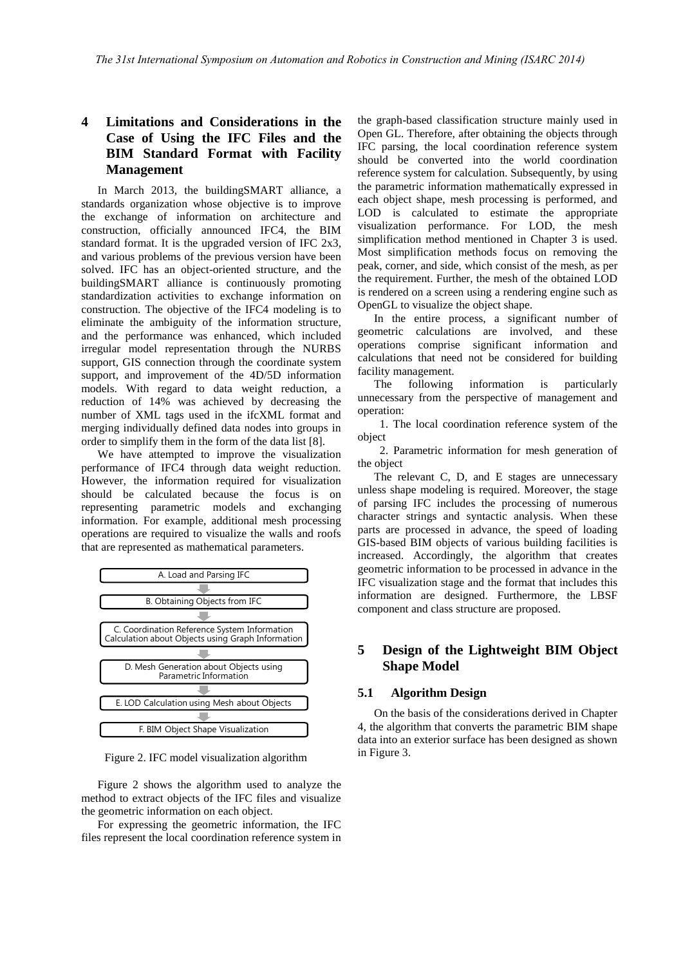# **4 Limitations and Considerations in the Case of Using the IFC Files and the BIM Standard Format with Facility Management**

In March 2013, the buildingSMART alliance, a standards organization whose objective is to improve the exchange of information on architecture and construction, officially announced IFC4, the BIM standard format. It is the upgraded version of IFC 2x3, and various problems of the previous version have been solved. IFC has an object-oriented structure, and the buildingSMART alliance is continuously promoting standardization activities to exchange information on construction. The objective of the IFC4 modeling is to eliminate the ambiguity of the information structure, and the performance was enhanced, which included irregular model representation through the NURBS support, GIS connection through the coordinate system support, and improvement of the 4D/5D information models. With regard to data weight reduction, a reduction of 14% was achieved by decreasing the number of XML tags used in the ifcXML format and merging individually defined data nodes into groups in order to simplify them in the form of the data list [8].

We have attempted to improve the visualization performance of IFC4 through data weight reduction. However, the information required for visualization should be calculated because the focus is on representing parametric models and exchanging information. For example, additional mesh processing operations are required to visualize the walls and roofs that are represented as mathematical parameters.



Figure 2. IFC model visualization algorithm

Figure 2 shows the algorithm used to analyze the method to extract objects of the IFC files and visualize the geometric information on each object.

For expressing the geometric information, the IFC files represent the local coordination reference system in the graph-based classification structure mainly used in Open GL. Therefore, after obtaining the objects through IFC parsing, the local coordination reference system should be converted into the world coordination reference system for calculation. Subsequently, by using the parametric information mathematically expressed in each object shape, mesh processing is performed, and LOD is calculated to estimate the appropriate visualization performance. For LOD, the mesh simplification method mentioned in Chapter 3 is used. Most simplification methods focus on removing the peak, corner, and side, which consist of the mesh, as per the requirement. Further, the mesh of the obtained LOD is rendered on a screen using a rendering engine such as OpenGL to visualize the object shape.

In the entire process, a significant number of geometric calculations are involved, and these operations comprise significant information and calculations that need not be considered for building facility management.

The following information is particularly unnecessary from the perspective of management and operation:

 1. The local coordination reference system of the object

 2. Parametric information for mesh generation of the object

The relevant C, D, and E stages are unnecessary unless shape modeling is required. Moreover, the stage of parsing IFC includes the processing of numerous character strings and syntactic analysis. When these parts are processed in advance, the speed of loading GIS-based BIM objects of various building facilities is increased. Accordingly, the algorithm that creates geometric information to be processed in advance in the IFC visualization stage and the format that includes this information are designed. Furthermore, the LBSF component and class structure are proposed.

## **5 Design of the Lightweight BIM Object Shape Model**

### **5.1 Algorithm Design**

On the basis of the considerations derived in Chapter 4, the algorithm that converts the parametric BIM shape data into an exterior surface has been designed as shown in Figure 3.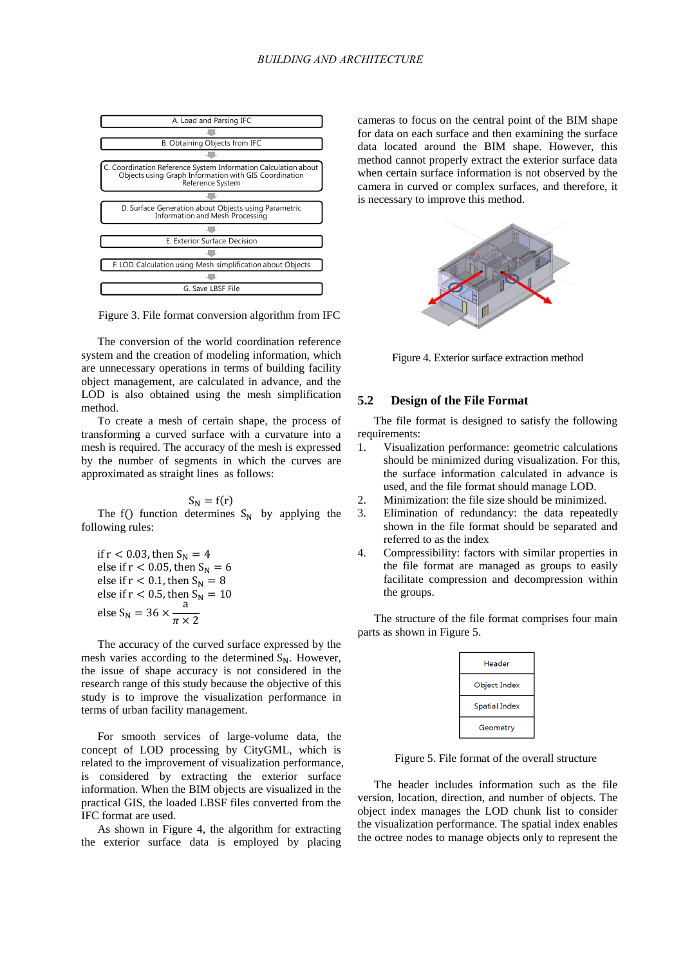

Figure 3. File format conversion algorithm from IFC

The conversion of the world coordination reference system and the creation of modeling information, which are unnecessary operations in terms of building facility object management, are calculated in advance, and the LOD is also obtained using the mesh simplification method.

To create a mesh of certain shape, the process of transforming a curved surface with a curvature into a mesh is required. The accuracy of the mesh is expressed by the number of segments in which the curves are approximated as straight lines as follows:

$$
S_N = f(r)
$$

The f() function determines  $S_N$  by applying the following rules:

if  $r < 0.03$ , then  $S_N = 4$ else if  $r < 0.05$ , then  $S_N = 6$ else if  $r < 0.1$ , then  $S_N = 8$ else if r < 0.5, then  $S_N = 10$ else S<sub>N</sub> = 36  $\times$   $\frac{a}{a}$  $\pi$ 

The accuracy of the curved surface expressed by the mesh varies according to the determined  $S_N$ . However, the issue of shape accuracy is not considered in the research range of this study because the objective of this study is to improve the visualization performance in terms of urban facility management.

For smooth services of large-volume data, the concept of LOD processing by CityGML, which is related to the improvement of visualization performance, is considered by extracting the exterior surface information. When the BIM objects are visualized in the practical GIS, the loaded LBSF files converted from the IFC format are used.

As shown in Figure 4, the algorithm for extracting the exterior surface data is employed by placing cameras to focus on the central point of the BIM shape for data on each surface and then examining the surface data located around the BIM shape. However, this method cannot properly extract the exterior surface data when certain surface information is not observed by the camera in curved or complex surfaces, and therefore, it is necessary to improve this method.



Figure 4. Exterior surface extraction method

### **5.2 Design of the File Format**

The file format is designed to satisfy the following requirements:

- 1. Visualization performance: geometric calculations should be minimized during visualization. For this, the surface information calculated in advance is used, and the file format should manage LOD.
- 2. Minimization: the file size should be minimized.
- 3. Elimination of redundancy: the data repeatedly shown in the file format should be separated and referred to as the index
- 4. Compressibility: factors with similar properties in the file format are managed as groups to easily facilitate compression and decompression within the groups.

The structure of the file format comprises four main parts as shown in Figure 5.

| Header               |
|----------------------|
| Object Index         |
| <b>Spatial Index</b> |
| Geometry             |

Figure 5. File format of the overall structure

The header includes information such as the file version, location, direction, and number of objects. The object index manages the LOD chunk list to consider the visualization performance. The spatial index enables the octree nodes to manage objects only to represent the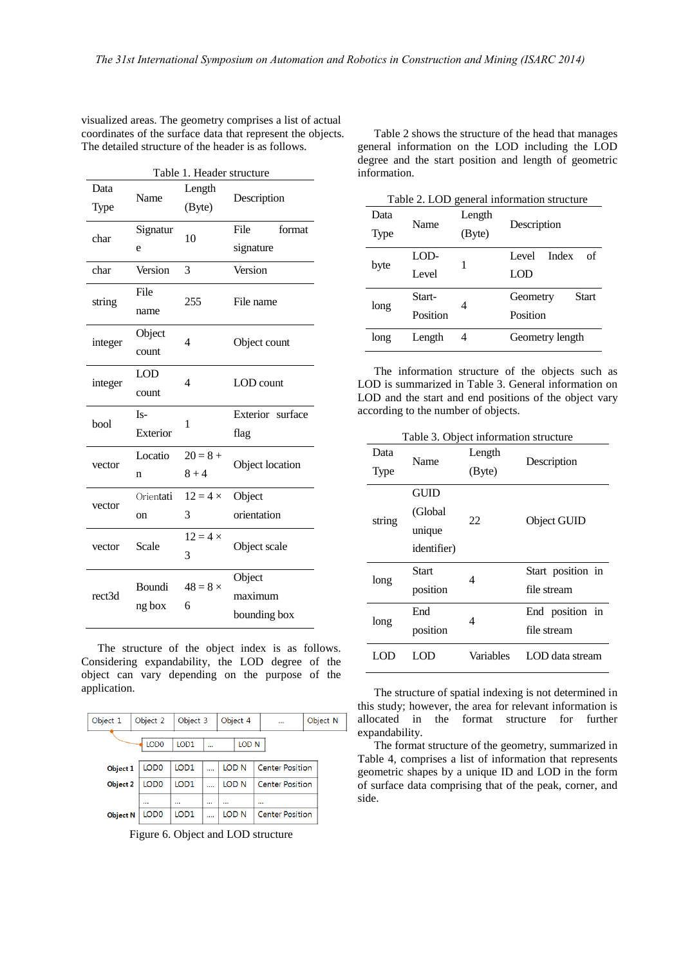| Table 1. Header structure |            |                 |                  |  |
|---------------------------|------------|-----------------|------------------|--|
| Data                      |            | Length          |                  |  |
| Type                      | Name       | (Byte)          | Description      |  |
| char                      | Signatur   | 10              | File<br>format   |  |
|                           | e          |                 | signature        |  |
| char                      | Version    | 3               | Version          |  |
| string                    | File       | 255             | File name        |  |
|                           | name       |                 |                  |  |
|                           | Object     | $\overline{4}$  |                  |  |
| integer                   | count      |                 | Object count     |  |
|                           | <b>LOD</b> | $\overline{4}$  | LOD count        |  |
| integer                   | count      |                 |                  |  |
| bool                      | $Is-$      | 1               | Exterior surface |  |
|                           | Exterior   |                 | flag             |  |
| vector                    | Locatio    | $20 = 8 +$      | Object location  |  |
|                           | n          | $8 + 4$         |                  |  |
| vector                    | Orientati  | $12 = 4 \times$ | Object           |  |
|                           | on         | 3               | orientation      |  |
|                           |            |                 |                  |  |
| vector                    | Scale      | $12 = 4 \times$ | Object scale     |  |
|                           |            | 3               |                  |  |
|                           | Boundi     | $48 = 8 \times$ | Object           |  |
| rect3d                    | ng box     | 6               | maximum          |  |

visualized areas. The geometry comprises a list of actual coordinates of the surface data that represent the objects. The detailed structure of the header is as follows.

The structure of the object index is as follows. Considering expandability, the LOD degree of the object can vary depending on the purpose of the application.

| Object 1                                    | Object 3<br>Object 2 |                  | Object 4 |  |                  | Object N               |  |
|---------------------------------------------|----------------------|------------------|----------|--|------------------|------------------------|--|
| LOD <sub>0</sub><br><b>IOD1</b><br>$\cdots$ |                      |                  |          |  | LOD <sub>N</sub> |                        |  |
| Object 1                                    | LOD <sub>0</sub>     | LOD <sub>1</sub> |          |  | LOD <sub>N</sub> | <b>Center Position</b> |  |
| Object 2                                    | LOD <sub>0</sub>     | LOD <sub>1</sub> |          |  | LOD N            | <b>Center Position</b> |  |
|                                             |                      |                  |          |  |                  |                        |  |
| <b>Object N</b>                             | LOD <sub>0</sub>     | LOD <sub>1</sub> |          |  | LOD N            | <b>Center Position</b> |  |

Figure 6. Object and LOD structure

Table 2 shows the structure of the head that manages general information on the LOD including the LOD degree and the start position and length of geometric information.

Table 2. LOD general information structure

| Data<br>Type | Name     | Length<br>(Byte) | Description              |  |
|--------------|----------|------------------|--------------------------|--|
| byte         | LOD-     |                  | Index<br>of<br>I evel    |  |
|              | Level    |                  | LOD                      |  |
|              | Start-   | 4                | <b>Start</b><br>Geometry |  |
| long         | Position |                  | Position                 |  |
| long         | Length   | 4                | Geometry length          |  |

The information structure of the objects such as LOD is summarized in Table 3. General information on LOD and the start and end positions of the object vary according to the number of objects.

Table 3. Object information structure

| Data<br>Type | Name                                             | Length<br>(Byte) | Description                      |
|--------------|--------------------------------------------------|------------------|----------------------------------|
| string       | GUID<br>(Global<br>unique<br><i>identifier</i> ) | 22               | Object GUID                      |
| long         | Start<br>position                                | 4                | Start position in<br>file stream |
| long         | End<br>position                                  | 4                | End position in<br>file stream   |
| LOD          | LOD                                              | Variables        | LOD data stream                  |

The structure of spatial indexing is not determined in this study; however, the area for relevant information is allocated in the format structure for further expandability.

The format structure of the geometry, summarized in Table 4, comprises a list of information that represents geometric shapes by a unique ID and LOD in the form of surface data comprising that of the peak, corner, and side.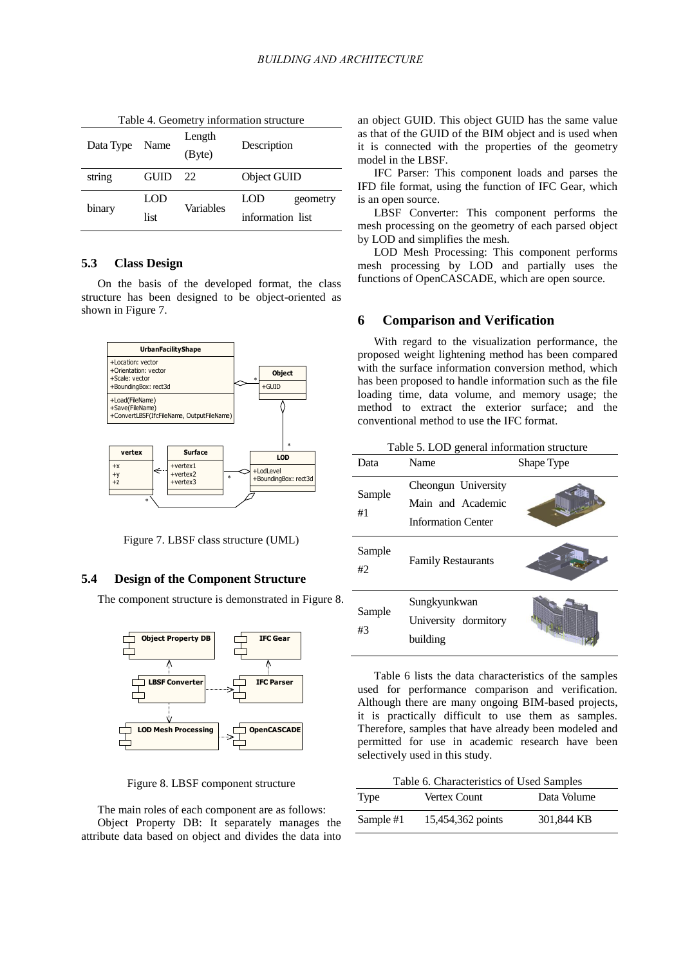| Table 4. Geometry information structure |      |                  |                  |  |  |
|-----------------------------------------|------|------------------|------------------|--|--|
| Data Type                               | Name | Length<br>(Byte) | Description      |  |  |
| string                                  | GUID | 22               | Object GUID      |  |  |
|                                         | LOD  | Variables        | LOD<br>geometry  |  |  |
| binary                                  | list |                  | information list |  |  |

**5.3 Class Design** 

On the basis of the developed format, the class structure has been designed to be object-oriented as shown in Figure 7.



Figure 7. LBSF class structure (UML)

### **5.4 Design of the Component Structure**

The component structure is demonstrated in Figure 8.



Figure 8. LBSF component structure

The main roles of each component are as follows: Object Property DB: It separately manages the attribute data based on object and divides the data into an object GUID. This object GUID has the same value as that of the GUID of the BIM object and is used when it is connected with the properties of the geometry model in the LBSF.

IFC Parser: This component loads and parses the IFD file format, using the function of IFC Gear, which is an open source.

LBSF Converter: This component performs the mesh processing on the geometry of each parsed object by LOD and simplifies the mesh.

LOD Mesh Processing: This component performs mesh processing by LOD and partially uses the functions of OpenCASCADE, which are open source.

### **6 Comparison and Verification**

With regard to the visualization performance, the proposed weight lightening method has been compared with the surface information conversion method, which has been proposed to handle information such as the file loading time, data volume, and memory usage; the method to extract the exterior surface; and the conventional method to use the IFC format.

Table 5. LOD general information structure

| Data         | Name                                                                  | Shape Type |
|--------------|-----------------------------------------------------------------------|------------|
| Sample<br>#1 | Cheongun University<br>Main and Academic<br><b>Information Center</b> |            |
| Sample<br>#2 | <b>Family Restaurants</b>                                             |            |
| Sample<br>#3 | Sungkyunkwan<br>University dormitory<br>building                      |            |

Table 6 lists the data characteristics of the samples used for performance comparison and verification. Although there are many ongoing BIM-based projects, it is practically difficult to use them as samples. Therefore, samples that have already been modeled and permitted for use in academic research have been selectively used in this study.

| Table 6. Characteristics of Used Samples |                   |             |  |  |  |
|------------------------------------------|-------------------|-------------|--|--|--|
| Type                                     | Vertex Count      | Data Volume |  |  |  |
| Sample #1                                | 15,454,362 points | 301,844 KB  |  |  |  |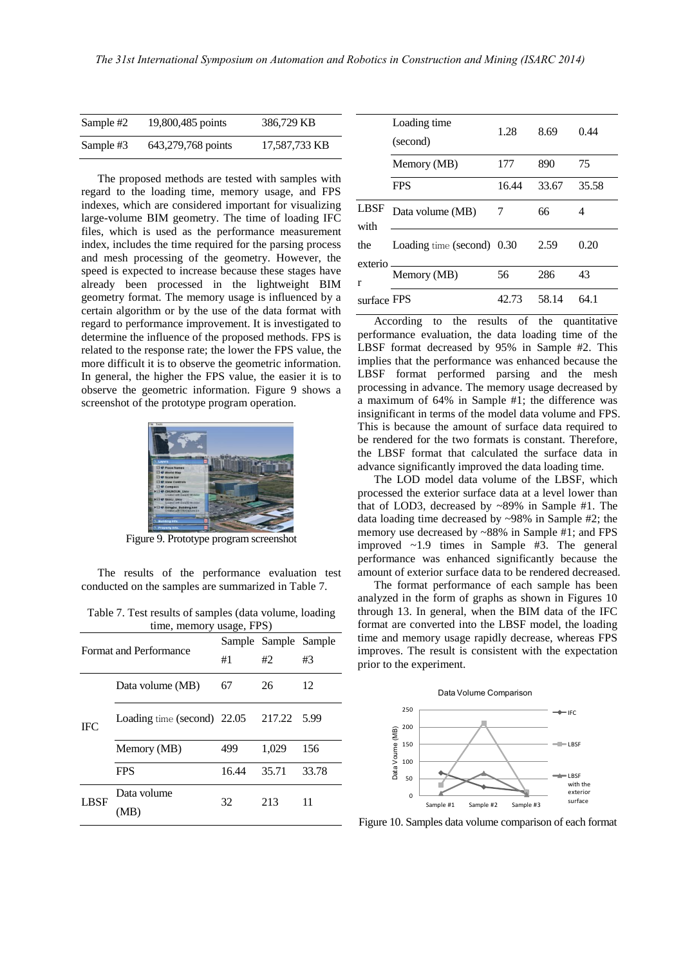| Sample #2 | 19,800,485 points  | 386,729 KB    |
|-----------|--------------------|---------------|
| Sample #3 | 643,279,768 points | 17,587,733 KB |

The proposed methods are tested with samples with regard to the loading time, memory usage, and FPS indexes, which are considered important for visualizing large-volume BIM geometry. The time of loading IFC files, which is used as the performance measurement index, includes the time required for the parsing process and mesh processing of the geometry. However, the speed is expected to increase because these stages have already been processed in the lightweight BIM geometry format. The memory usage is influenced by a certain algorithm or by the use of the data format with regard to performance improvement. It is investigated to determine the influence of the proposed methods. FPS is related to the response rate; the lower the FPS value, the more difficult it is to observe the geometric information. In general, the higher the FPS value, the easier it is to observe the geometric information. Figure 9 shows a screenshot of the prototype program operation.



Figure 9. Prototype program screenshot

The results of the performance evaluation test conducted on the samples are summarized in Table 7.

Table 7. Test results of samples (data volume, loading  $m$ amory usage,  $FPR$ 

|                               | $\mu$ and $\mu$ and $\mu$ and $\mu$ and $\mu$ and $\mu$ |       |                      |       |  |  |
|-------------------------------|---------------------------------------------------------|-------|----------------------|-------|--|--|
| <b>Format and Performance</b> |                                                         |       | Sample Sample Sample |       |  |  |
|                               |                                                         | #1    | #2                   | #3    |  |  |
|                               | Data volume (MB)                                        | 67    | 26                   | 12    |  |  |
| <b>IFC</b>                    | Loading time (second) 22.05 217.22 5.99                 |       |                      |       |  |  |
|                               | Memory (MB)                                             | 499   | 1,029                | 156   |  |  |
|                               | <b>FPS</b>                                              | 16.44 | 35.71                | 33.78 |  |  |
| <b>LBSF</b>                   | Data volume<br>MB)                                      | 32    | 213                  | 11    |  |  |

|                     | Loading time<br>(second)   | 1.28  | 8.69  | 0.44  |
|---------------------|----------------------------|-------|-------|-------|
|                     | Memory (MB)                | 177   | 890   | 75    |
|                     | <b>FPS</b>                 | 16.44 | 33.67 | 35.58 |
| LBSF<br>with        | Data volume (MB)           | 7     | 66    | 4     |
| the<br>exterio<br>r | Loading time (second) 0.30 |       | 2.59  | 0.20  |
|                     | Memory (MB)                | 56    | 286   | 43    |
| surface FPS         |                            | 42.73 | 58.14 | 64.1  |

According to the results of the quantitative performance evaluation, the data loading time of the LBSF format decreased by 95% in Sample #2. This implies that the performance was enhanced because the LBSF format performed parsing and the mesh processing in advance. The memory usage decreased by a maximum of 64% in Sample #1; the difference was insignificant in terms of the model data volume and FPS. This is because the amount of surface data required to be rendered for the two formats is constant. Therefore, the LBSF format that calculated the surface data in advance significantly improved the data loading time.

The LOD model data volume of the LBSF, which processed the exterior surface data at a level lower than that of LOD3, decreased by ~89% in Sample #1. The data loading time decreased by ~98% in Sample #2; the memory use decreased by ~88% in Sample #1; and FPS improved ~1.9 times in Sample #3. The general performance was enhanced significantly because the amount of exterior surface data to be rendered decreased.

The format performance of each sample has been analyzed in the form of graphs as shown in Figures 10 through 13. In general, when the BIM data of the IFC format are converted into the LBSF model, the loading time and memory usage rapidly decrease, whereas FPS improves. The result is consistent with the expectation prior to the experiment.



Figure 10. Samples data volume comparison of each format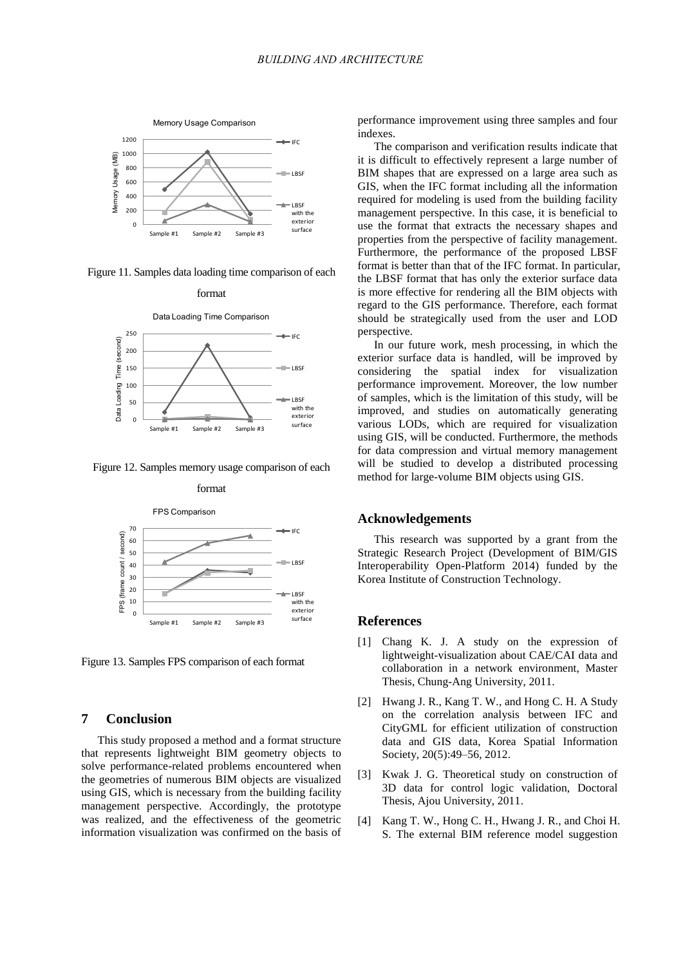

Figure 11. Samples data loading time comparison of each format



Figure 12. Samples memory usage comparison of each format



Figure 13. Samples FPS comparison of each format

### **7 Conclusion**

This study proposed a method and a format structure that represents lightweight BIM geometry objects to solve performance-related problems encountered when the geometries of numerous BIM objects are visualized using GIS, which is necessary from the building facility management perspective. Accordingly, the prototype was realized, and the effectiveness of the geometric information visualization was confirmed on the basis of performance improvement using three samples and four indexes.

The comparison and verification results indicate that it is difficult to effectively represent a large number of BIM shapes that are expressed on a large area such as GIS, when the IFC format including all the information required for modeling is used from the building facility management perspective. In this case, it is beneficial to use the format that extracts the necessary shapes and properties from the perspective of facility management. Furthermore, the performance of the proposed LBSF format is better than that of the IFC format. In particular, the LBSF format that has only the exterior surface data is more effective for rendering all the BIM objects with regard to the GIS performance. Therefore, each format should be strategically used from the user and LOD perspective.

In our future work, mesh processing, in which the exterior surface data is handled, will be improved by considering the spatial index for visualization performance improvement. Moreover, the low number of samples, which is the limitation of this study, will be improved, and studies on automatically generating various LODs, which are required for visualization using GIS, will be conducted. Furthermore, the methods for data compression and virtual memory management will be studied to develop a distributed processing method for large-volume BIM objects using GIS.

### **Acknowledgements**

This research was supported by a grant from the Strategic Research Project (Development of BIM/GIS Interoperability Open-Platform 2014) funded by the Korea Institute of Construction Technology.

#### **References**

- [1] Chang K. J. A study on the expression of lightweight-visualization about CAE/CAI data and collaboration in a network environment, Master Thesis, Chung-Ang University, 2011.
- [2] Hwang J. R., Kang T. W., and Hong C. H. A Study on the correlation analysis between IFC and CityGML for efficient utilization of construction data and GIS data, Korea Spatial Information Society, 20(5):49–56, 2012.
- [3] Kwak J. G. Theoretical study on construction of 3D data for control logic validation, Doctoral Thesis, Ajou University, 2011.
- [4] Kang T. W., Hong C. H., Hwang J. R., and Choi H. S. The external BIM reference model suggestion